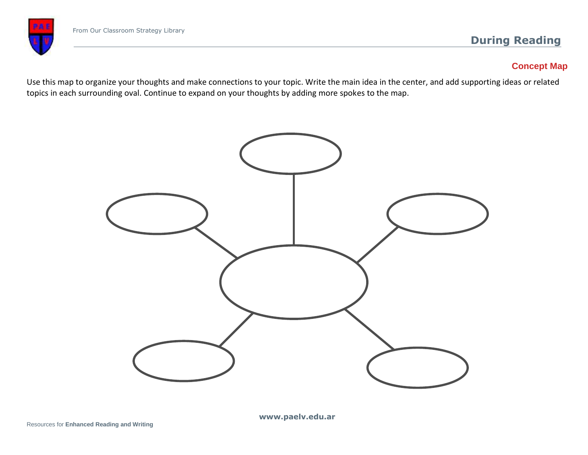

# **Concept Map**

Use this map to organize your thoughts and make connections to your topic. Write the main idea in the center, and add supporting ideas or related topics in each surrounding oval. Continue to expand on your thoughts by adding more spokes to the map.



**www.paelv.edu.ar**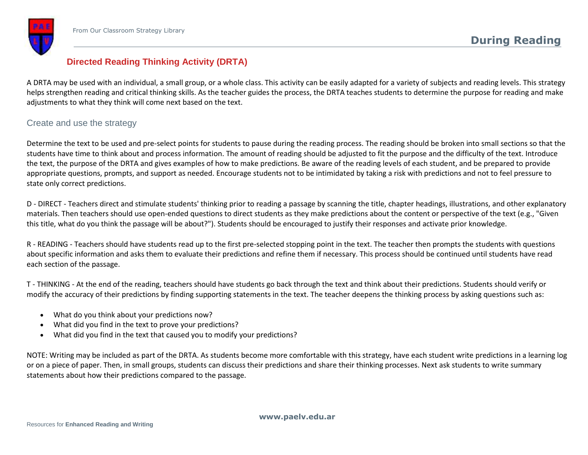# **Directed Reading Thinking Activity (DRTA)**

A DRTA may be used with an individual, a small group, or a whole class. This activity can be easily adapted for a variety of subjects and reading levels. This strategy helps strengthen reading and critical thinking skills. As the teacher guides the process, the DRTA teaches students to determine the purpose for reading and make adjustments to what they think will come next based on the text.

# Create and use the strategy

Determine the text to be used and pre-select points for students to pause during the reading process. The reading should be broken into small sections so that the students have time to think about and process information. The amount of reading should be adjusted to fit the purpose and the difficulty of the text. Introduce the text, the purpose of the DRTA and gives examples of how to make predictions. Be aware of the reading levels of each student, and be prepared to provide appropriate questions, prompts, and support as needed. Encourage students not to be intimidated by taking a risk with predictions and not to feel pressure to state only correct predictions.

D - DIRECT - Teachers direct and stimulate students' thinking prior to reading a passage by scanning the title, chapter headings, illustrations, and other explanatory materials. Then teachers should use open-ended questions to direct students as they make predictions about the content or perspective of the text (e.g., "Given this title, what do you think the passage will be about?"). Students should be encouraged to justify their responses and activate prior knowledge.

R - READING - Teachers should have students read up to the first pre-selected stopping point in the text. The teacher then prompts the students with questions about specific information and asks them to evaluate their predictions and refine them if necessary. This process should be continued until students have read each section of the passage.

T - THINKING - At the end of the reading, teachers should have students go back through the text and think about their predictions. Students should verify or modify the accuracy of their predictions by finding supporting statements in the text. The teacher deepens the thinking process by asking questions such as:

- What do you think about your predictions now?
- What did you find in the text to prove your predictions?
- What did you find in the text that caused you to modify your predictions?

NOTE: Writing may be included as part of the DRTA. As students become more comfortable with this strategy, have each student write predictions in a learning log or on a piece of paper. Then, in small groups, students can discuss their predictions and share their thinking processes. Next ask students to write summary statements about how their predictions compared to the passage.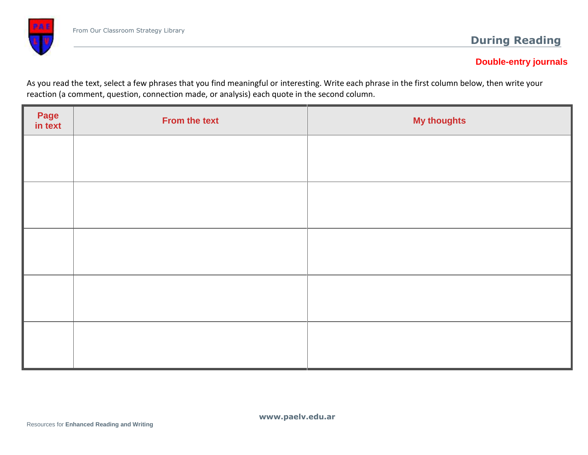# **Double-entry journals**

As you read the text, select a few phrases that you find meaningful or interesting. Write each phrase in the first column below, then write your reaction (a comment, question, connection made, or analysis) each quote in the second column.

| Page<br>in text | From the text | <b>My thoughts</b> |
|-----------------|---------------|--------------------|
|                 |               |                    |
|                 |               |                    |
|                 |               |                    |
|                 |               |                    |
|                 |               |                    |
|                 |               |                    |
|                 |               |                    |
|                 |               |                    |
|                 |               |                    |
|                 |               |                    |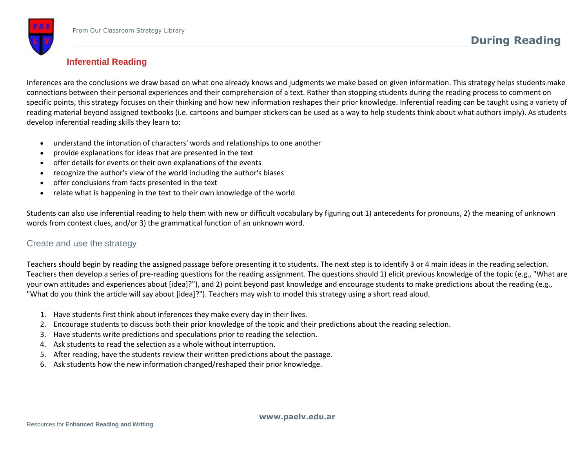# **Inferential Reading**

Inferences are the conclusions we draw based on what one already knows and judgments we make based on given information. This strategy helps students make connections between their personal experiences and their comprehension of a text. Rather than stopping students during the reading process to comment on specific points, this strategy focuses on their thinking and how new information reshapes their prior knowledge. Inferential reading can be taught using a variety of reading material beyond assigned textbooks (i.e. cartoons and bumper stickers can be used as a way to help students think about what authors imply). As students develop inferential reading skills they learn to:

- understand the intonation of characters' words and relationships to one another
- provide explanations for ideas that are presented in the text
- offer details for events or their own explanations of the events
- recognize the author's view of the world including the author's biases
- offer conclusions from facts presented in the text
- relate what is happening in the text to their own knowledge of the world

Students can also use inferential reading to help them with new or difficult vocabulary by figuring out 1) antecedents for pronouns, 2) the meaning of unknown words from context clues, and/or 3) the grammatical function of an unknown word.

## Create and use the strategy

Teachers should begin by reading the assigned passage before presenting it to students. The next step is to identify 3 or 4 main ideas in the reading selection. Teachers then develop a series of pre-reading questions for the reading assignment. The questions should 1) elicit previous knowledge of the topic (e.g., "What are your own attitudes and experiences about [idea]?"), and 2) point beyond past knowledge and encourage students to make predictions about the reading (e.g., "What do you think the article will say about [idea]?"). Teachers may wish to model this strategy using a short read aloud.

- 1. Have students first think about inferences they make every day in their lives.
- 2. Encourage students to discuss both their prior knowledge of the topic and their predictions about the reading selection.
- 3. Have students write predictions and speculations prior to reading the selection.
- 4. Ask students to read the selection as a whole without interruption.
- 5. After reading, have the students review their written predictions about the passage.
- 6. Ask students how the new information changed/reshaped their prior knowledge.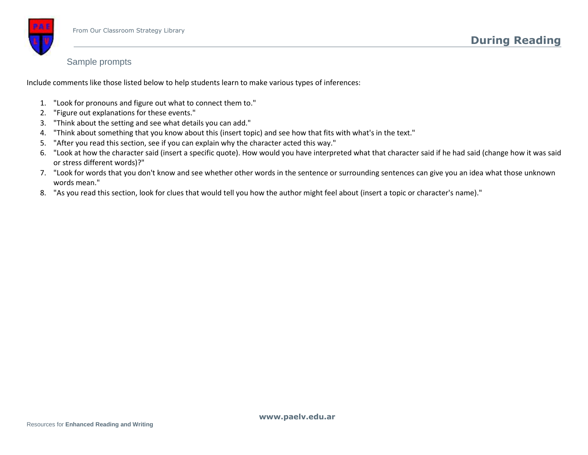## Sample prompts

Include comments like those listed below to help students learn to make various types of inferences:

- 1. "Look for pronouns and figure out what to connect them to."
- 2. "Figure out explanations for these events."
- 3. "Think about the setting and see what details you can add."
- 4. "Think about something that you know about this (insert topic) and see how that fits with what's in the text."
- 5. "After you read this section, see if you can explain why the character acted this way."
- 6. "Look at how the character said (insert a specific quote). How would you have interpreted what that character said if he had said (change how it was said or stress different words)?"
- 7. "Look for words that you don't know and see whether other words in the sentence or surrounding sentences can give you an idea what those unknown words mean."
- 8. "As you read this section, look for clues that would tell you how the author might feel about (insert a topic or character's name)."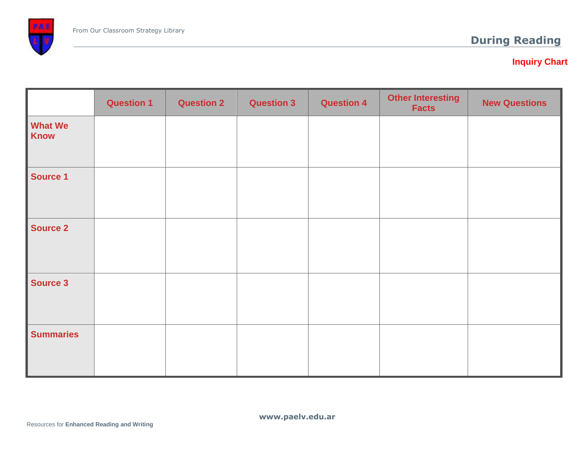

# **Inquiry Chart**

|                               | <b>Question 1</b> | <b>Question 2</b> | <b>Question 3</b> | <b>Question 4</b> | <b>Other Interesting</b><br><b>Facts</b> | <b>New Questions</b> |
|-------------------------------|-------------------|-------------------|-------------------|-------------------|------------------------------------------|----------------------|
| <b>What We</b><br><b>Know</b> |                   |                   |                   |                   |                                          |                      |
| <b>Source 1</b>               |                   |                   |                   |                   |                                          |                      |
| <b>Source 2</b>               |                   |                   |                   |                   |                                          |                      |
| <b>Source 3</b>               |                   |                   |                   |                   |                                          |                      |
| <b>Summaries</b>              |                   |                   |                   |                   |                                          |                      |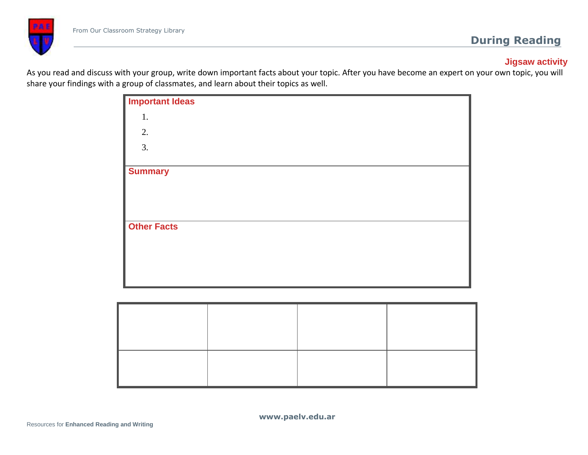

# **Jigsaw activity**

As you read and discuss with your group, write down important facts about your topic. After you have become an expert on your own topic, you will share your findings with a group of classmates, and learn about their topics as well.

| <b>Important Ideas</b> |  |
|------------------------|--|
| 1.                     |  |
| 2.                     |  |
| 3.                     |  |
| <b>Summary</b>         |  |
|                        |  |
|                        |  |
|                        |  |
| <b>Other Facts</b>     |  |
|                        |  |
|                        |  |
|                        |  |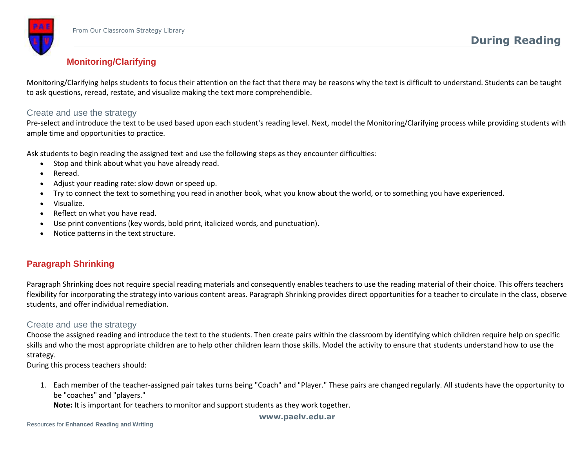

# **Monitoring/Clarifying**

Monitoring/Clarifying helps students to focus their attention on the fact that there may be reasons why the text is difficult to understand. Students can be taught to ask questions, reread, restate, and visualize making the text more comprehendible.

#### Create and use the strategy

Pre-select and introduce the text to be used based upon each student's reading level. Next, model the Monitoring/Clarifying process while providing students with ample time and opportunities to practice.

Ask students to begin reading the assigned text and use the following steps as they encounter difficulties:

- Stop and think about what you have already read.
- Reread.
- Adjust your reading rate: slow down or speed up.
- Try to connect the text to something you read in another book, what you know about the world, or to something you have experienced.
- Visualize.
- Reflect on what you have read.
- Use print conventions (key words, bold print, italicized words, and punctuation).
- Notice patterns in the text structure.

## **Paragraph Shrinking**

Paragraph Shrinking does not require special reading materials and consequently enables teachers to use the reading material of their choice. This offers teachers flexibility for incorporating the strategy into various content areas. Paragraph Shrinking provides direct opportunities for a teacher to circulate in the class, observe students, and offer individual remediation.

#### Create and use the strategy

Choose the assigned reading and introduce the text to the students. Then create pairs within the classroom by identifying which children require help on specific skills and who the most appropriate children are to help other children learn those skills. Model the activity to ensure that students understand how to use the strategy.

During this process teachers should:

1. Each member of the teacher-assigned pair takes turns being "Coach" and "Player." These pairs are changed regularly. All students have the opportunity to be "coaches" and "players."

**Note:** It is important for teachers to monitor and support students as they work together.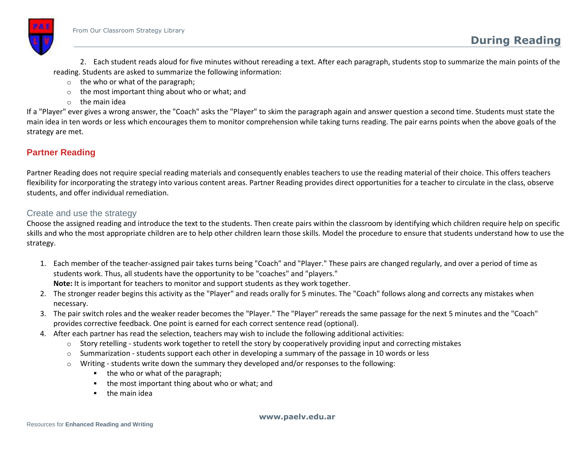

2. Each student reads aloud for five minutes without rereading a text. After each paragraph, students stop to summarize the main points of the reading. Students are asked to summarize the following information:

- o the who or what of the paragraph;
- o the most important thing about who or what; and
- $\circ$  the main idea

If a "Player" ever gives a wrong answer, the "Coach" asks the "Player" to skim the paragraph again and answer question a second time. Students must state the main idea in ten words or less which encourages them to monitor comprehension while taking turns reading. The pair earns points when the above goals of the strategy are met.

# **Partner Reading**

Partner Reading does not require special reading materials and consequently enables teachers to use the reading material of their choice. This offers teachers flexibility for incorporating the strategy into various content areas. Partner Reading provides direct opportunities for a teacher to circulate in the class, observe students, and offer individual remediation.

## Create and use the strategy

Choose the assigned reading and introduce the text to the students. Then create pairs within the classroom by identifying which children require help on specific skills and who the most appropriate children are to help other children learn those skills. Model the procedure to ensure that students understand how to use the strategy.

- 1. Each member of the teacher-assigned pair takes turns being "Coach" and "Player." These pairs are changed regularly, and over a period of time as students work. Thus, all students have the opportunity to be "coaches" and "players." **Note:** It is important for teachers to monitor and support students as they work together.
- 2. The stronger reader begins this activity as the "Player" and reads orally for 5 minutes. The "Coach" follows along and corrects any mistakes when necessary.
- 3. The pair switch roles and the weaker reader becomes the "Player." The "Player" rereads the same passage for the next 5 minutes and the "Coach" provides corrective feedback. One point is earned for each correct sentence read (optional).
- 4. After each partner has read the selection, teachers may wish to include the following additional activities:
	- $\circ$  Story retelling students work together to retell the story by cooperatively providing input and correcting mistakes
	- $\circ$  Summarization students support each other in developing a summary of the passage in 10 words or less
	- $\circ$  Writing students write down the summary they developed and/or responses to the following:
		- $\blacksquare$  the who or what of the paragraph;
		- the most important thing about who or what; and
		- $\blacksquare$  the main idea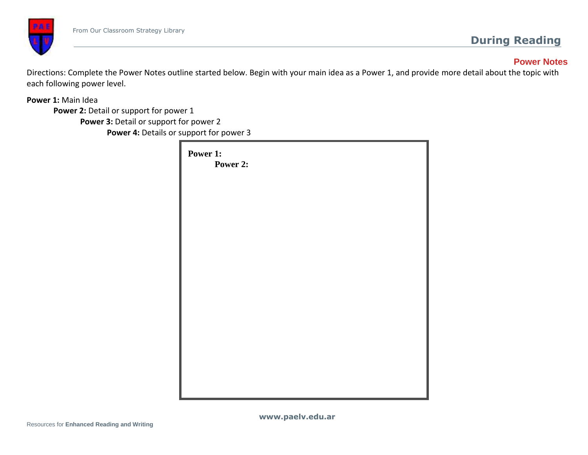

# **Power Notes**

Directions: Complete the Power Notes outline started below. Begin with your main idea as a Power 1, and provide more detail about the topic with each following power level.

**Power 1:** Main Idea

**Power 2:** Detail or support for power 1

**Power 3:** Detail or support for power 2 **Power 4:** Details or support for power 3

| Power 1:<br>Power 2: |  |  |
|----------------------|--|--|
|                      |  |  |
|                      |  |  |
|                      |  |  |
|                      |  |  |
|                      |  |  |
|                      |  |  |
|                      |  |  |
|                      |  |  |
|                      |  |  |
|                      |  |  |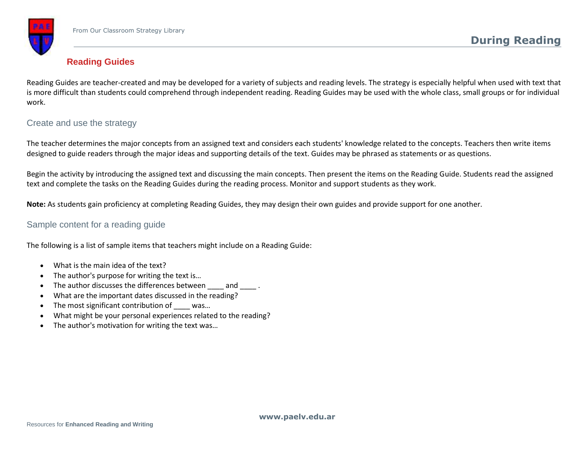

# **Reading Guides**

Reading Guides are teacher-created and may be developed for a variety of subjects and reading levels. The strategy is especially helpful when used with text that is more difficult than students could comprehend through independent reading. Reading Guides may be used with the whole class, small groups or for individual work.

## Create and use the strategy

The teacher determines the major concepts from an assigned text and considers each students' knowledge related to the concepts. Teachers then write items designed to guide readers through the major ideas and supporting details of the text. Guides may be phrased as statements or as questions.

Begin the activity by introducing the assigned text and discussing the main concepts. Then present the items on the Reading Guide. Students read the assigned text and complete the tasks on the Reading Guides during the reading process. Monitor and support students as they work.

**Note:** As students gain proficiency at completing Reading Guides, they may design their own guides and provide support for one another.

## Sample content for a reading guide

The following is a list of sample items that teachers might include on a Reading Guide:

- What is the main idea of the text?
- The author's purpose for writing the text is…
- The author discusses the differences between and  $\qquad$ .
- What are the important dates discussed in the reading?
- The most significant contribution of was...
- What might be your personal experiences related to the reading?
- The author's motivation for writing the text was...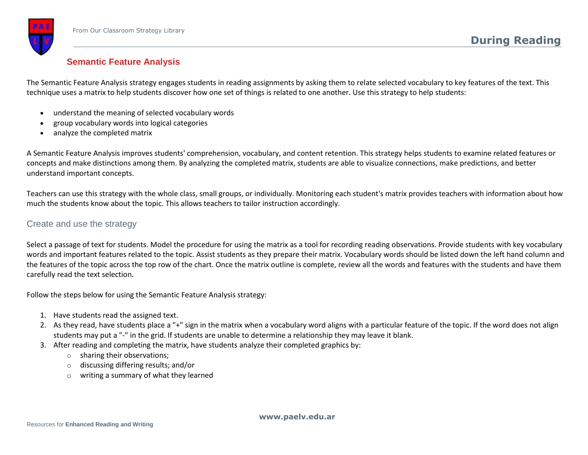## **Semantic Feature Analysis**

The Semantic Feature Analysis strategy engages students in reading assignments by asking them to relate selected vocabulary to key features of the text. This technique uses a matrix to help students discover how one set of things is related to one another. Use this strategy to help students:

- understand the meaning of selected vocabulary words
- group vocabulary words into logical categories
- analyze the completed matrix

A Semantic Feature Analysis improves students' comprehension, vocabulary, and content retention. This strategy helps students to examine related features or concepts and make distinctions among them. By analyzing the completed matrix, students are able to visualize connections, make predictions, and better understand important concepts.

Teachers can use this strategy with the whole class, small groups, or individually. Monitoring each student's matrix provides teachers with information about how much the students know about the topic. This allows teachers to tailor instruction accordingly.

## Create and use the strategy

Select a passage of text for students. Model the procedure for using the matrix as a tool for recording reading observations. Provide students with key vocabulary words and important features related to the topic. Assist students as they prepare their matrix. Vocabulary words should be listed down the left hand column and the features of the topic across the top row of the chart. Once the matrix outline is complete, review all the words and features with the students and have them carefully read the text selection.

Follow the steps below for using the Semantic Feature Analysis strategy:

- 1. Have students read the assigned text.
- 2. As they read, have students place a "+" sign in the matrix when a vocabulary word aligns with a particular feature of the topic. If the word does not align students may put a "-" in the grid. If students are unable to determine a relationship they may leave it blank.
- 3. After reading and completing the matrix, have students analyze their completed graphics by:
	- o sharing their observations;
	- o discussing differing results; and/or
	- writing a summary of what they learned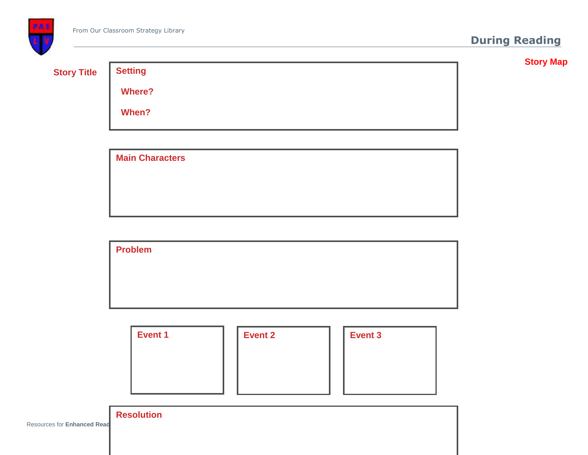

**Story Map**

| ۱r<br>$\sim$<br>ко | l it |
|--------------------|------|
|                    |      |

 **Where?**

**Setting** 

 **When?**

| <b>Main Characters</b> |  |  |
|------------------------|--|--|
|                        |  |  |
|                        |  |  |
|                        |  |  |
|                        |  |  |

| <b>Problem</b> |  |  |  |
|----------------|--|--|--|
|                |  |  |  |
|                |  |  |  |
|                |  |  |  |

| <b>Event 1</b> | <b>Event 2</b> | <b>Event 3</b> |
|----------------|----------------|----------------|
|                |                |                |
|                |                |                |
|                |                |                |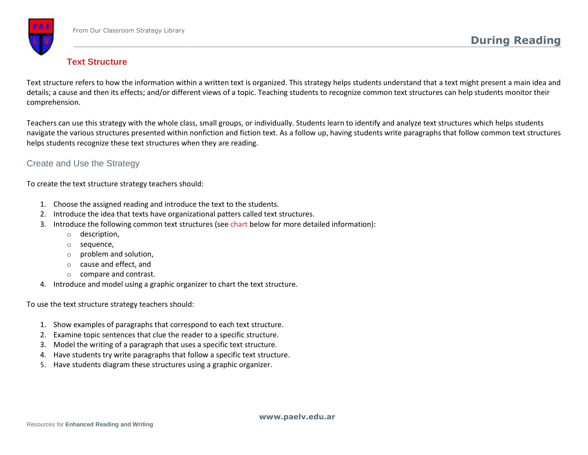

## **Text Structure**

Text structure refers to how the information within a written text is organized. This strategy helps students understand that a text might present a main idea and details; a cause and then its effects; and/or different views of a topic. Teaching students to recognize common text structures can help students monitor their comprehension.

Teachers can use this strategy with the whole class, small groups, or individually. Students learn to identify and analyze text structures which helps students navigate the various structures presented within nonfiction and fiction text. As a follow up, having students write paragraphs that follow common text structures helps students recognize these text structures when they are reading.

## Create and Use the Strategy

To create the text structure strategy teachers should:

- 1. Choose the assigned reading and introduce the text to the students.
- 2. Introduce the idea that texts have organizational patters called text structures.
- 3. Introduce the following common text structures (see [chart](http://www.adlit.org/strategies/23336#table) below for more detailed information):
	- o description,
	- o sequence,
	- o problem and solution,
	- o cause and effect, and
	- o compare and contrast.
- 4. Introduce and model using a graphic organizer to chart the text structure.

To use the text structure strategy teachers should:

- 1. Show examples of paragraphs that correspond to each text structure.
- 2. Examine topic sentences that clue the reader to a specific structure.
- 3. Model the writing of a paragraph that uses a specific text structure.
- 4. Have students try write paragraphs that follow a specific text structure.
- 5. Have students diagram these structures using a graphic organizer.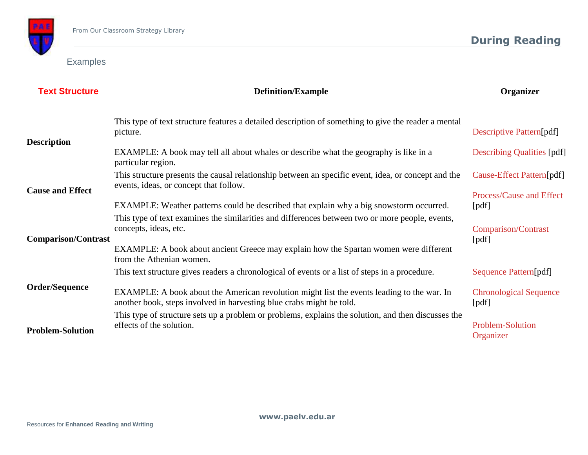

Examples

| <b>Text Structure</b>      | <b>Definition/Example</b>                                                                                                                                          | Organizer                              |
|----------------------------|--------------------------------------------------------------------------------------------------------------------------------------------------------------------|----------------------------------------|
|                            | This type of text structure features a detailed description of something to give the reader a mental<br>picture.                                                   | <b>Descriptive Pattern[pdf]</b>        |
| <b>Description</b>         | EXAMPLE: A book may tell all about whales or describe what the geography is like in a<br>particular region.                                                        | <b>Describing Qualities [pdf]</b>      |
| <b>Cause and Effect</b>    | This structure presents the causal relationship between an specific event, idea, or concept and the<br>events, ideas, or concept that follow.                      | Cause-Effect Pattern[pdf]              |
|                            | EXAMPLE: Weather patterns could be described that explain why a big snowstorm occurred.                                                                            | Process/Cause and Effect<br>[pdf]      |
|                            | This type of text examines the similarities and differences between two or more people, events,<br>concepts, ideas, etc.                                           | Comparison/Contrast                    |
| <b>Comparison/Contrast</b> | EXAMPLE: A book about ancient Greece may explain how the Spartan women were different<br>from the Athenian women.                                                  | [pdf]                                  |
|                            | This text structure gives readers a chronological of events or a list of steps in a procedure.                                                                     | Sequence Pattern[pdf]                  |
| <b>Order/Sequence</b>      | EXAMPLE: A book about the American revolution might list the events leading to the war. In<br>another book, steps involved in harvesting blue crabs might be told. | <b>Chronological Sequence</b><br>[pdf] |
| <b>Problem-Solution</b>    | This type of structure sets up a problem or problems, explains the solution, and then discusses the<br>effects of the solution.                                    | <b>Problem-Solution</b><br>Organizer   |